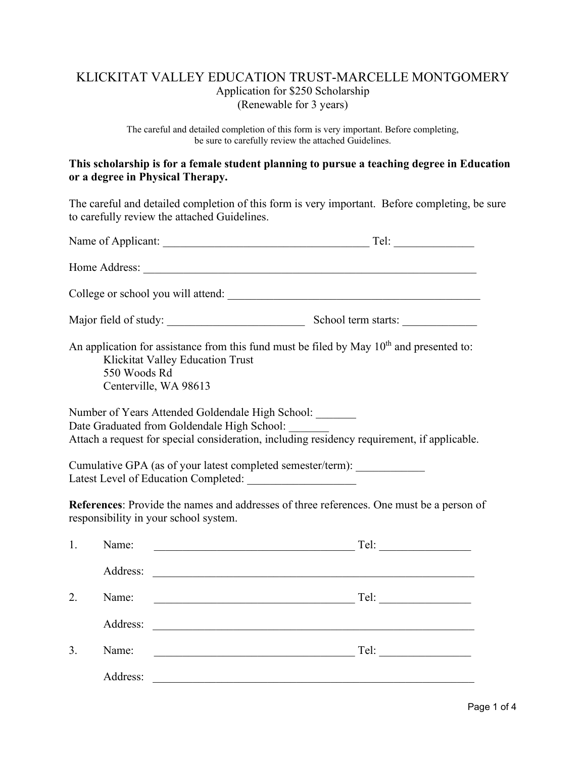## KLICKITAT VALLEY EDUCATION TRUST-MARCELLE MONTGOMERY Application for \$250 Scholarship (Renewable for 3 years)

The careful and detailed completion of this form is very important. Before completing, be sure to carefully review the attached Guidelines.

### **This scholarship is for a female student planning to pursue a teaching degree in Education or a degree in Physical Therapy.**

The careful and detailed completion of this form is very important. Before completing, be sure to carefully review the attached Guidelines.

| Home Address:<br>Major field of study:<br>An application for assistance from this fund must be filed by May $10th$ and presented to:<br>Klickitat Valley Education Trust                       | School term starts: |
|------------------------------------------------------------------------------------------------------------------------------------------------------------------------------------------------|---------------------|
|                                                                                                                                                                                                |                     |
|                                                                                                                                                                                                |                     |
|                                                                                                                                                                                                |                     |
| 550 Woods Rd<br>Centerville, WA 98613                                                                                                                                                          |                     |
| Number of Years Attended Goldendale High School:<br>Date Graduated from Goldendale High School:<br>Attach a request for special consideration, including residency requirement, if applicable. |                     |
| Cumulative GPA (as of your latest completed semester/term): ______________<br>Latest Level of Education Completed:                                                                             |                     |
| References: Provide the names and addresses of three references. One must be a person of<br>responsibility in your school system.                                                              |                     |
| 1.<br>Name:                                                                                                                                                                                    |                     |
|                                                                                                                                                                                                |                     |
| 2.<br>Name:                                                                                                                                                                                    |                     |
|                                                                                                                                                                                                |                     |
| Name:<br>3.                                                                                                                                                                                    |                     |
| Address:                                                                                                                                                                                       |                     |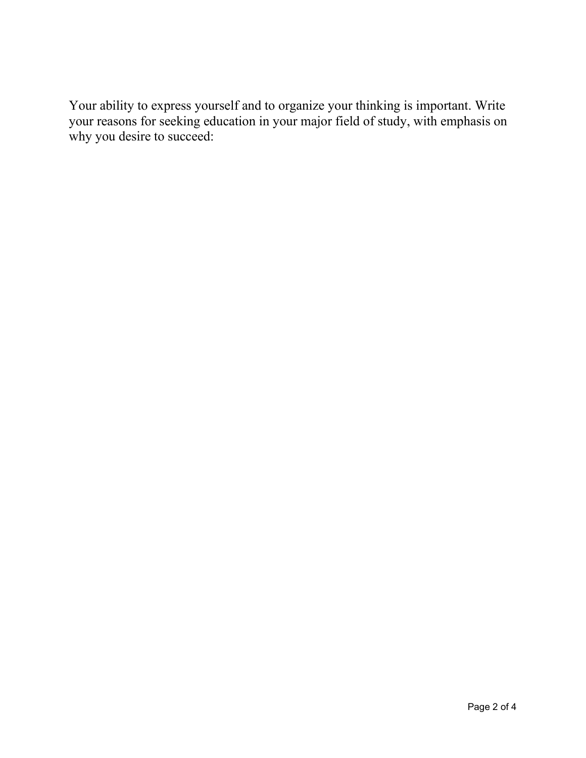Your ability to express yourself and to organize your thinking is important. Write your reasons for seeking education in your major field of study, with emphasis on why you desire to succeed: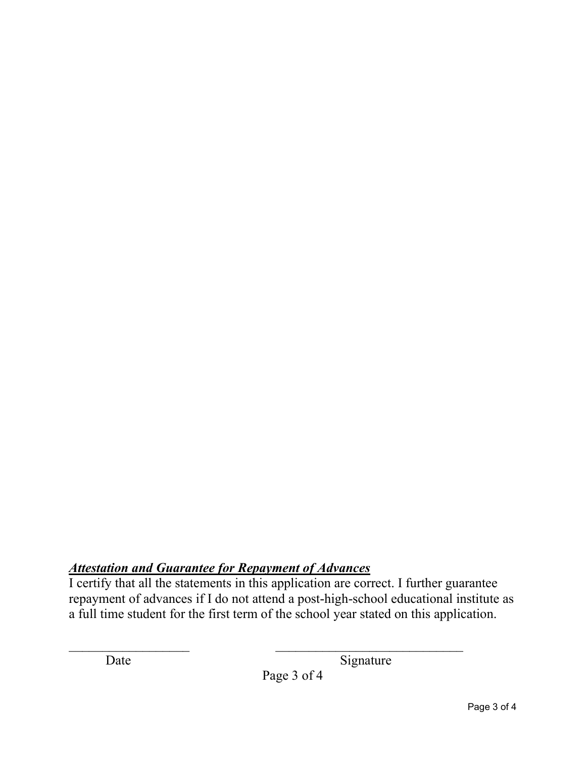# *Attestation and Guarantee for Repayment of Advances*

I certify that all the statements in this application are correct. I further guarantee repayment of advances if I do not attend a post-high-school educational institute as a full time student for the first term of the school year stated on this application.

Date Signature